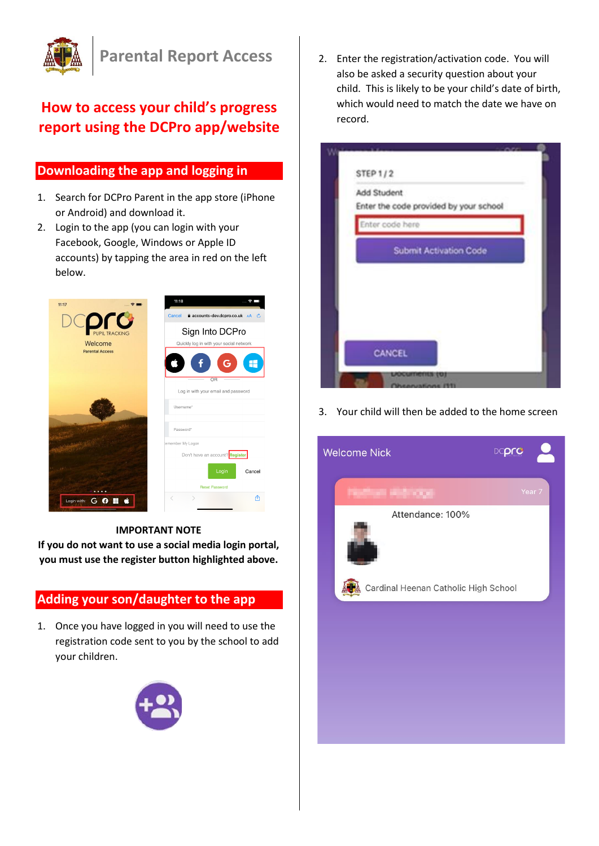

# **How to access your child's progress report using the DCPro app/website**

### **Downloading the app and logging in**

- 1. Search for DCPro Parent in the app store (iPhone or Android) and download it.
- 2. Login to the app (you can login with your Facebook, Google, Windows or Apple ID accounts) by tapping the area in red on the left below.



**IMPORTANT NOTE**

**If you do not want to use a social media login portal, you must use the register button highlighted above.**

## **Adding your son/daughter to the app**

1. Once you have logged in you will need to use the registration code sent to you by the school to add your children.



2. Enter the registration/activation code. You will also be asked a security question about your child. This is likely to be your child's date of birth, which would need to match the date we have on record.



3. Your child will then be added to the home screen